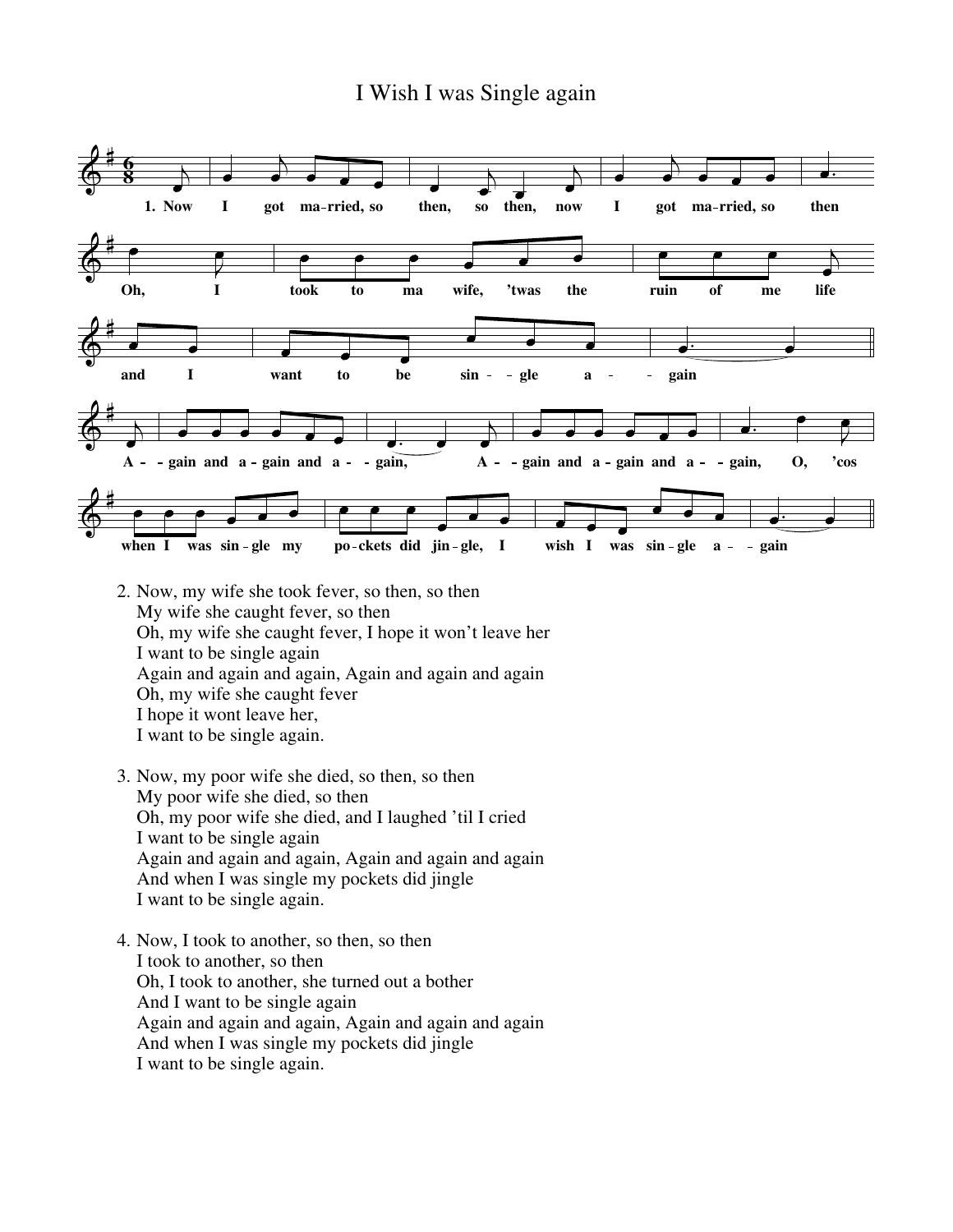## I Wish I was Single again



- 2. Now, my wife she took fever, so then, so then My wife she caught fever, so then Oh, my wife she caught fever, I hope it won't leave her I want to be single again Again and again and again, Again and again and again Oh, my wife she caught fever I hope it wont leave her, I want to be single again.
- 3. Now, my poor wife she died, so then, so then My poor wife she died, so then Oh, my poor wife she died, and I laughed 'til I cried I want to be single again Again and again and again, Again and again and again And when I was single my pockets did jingle I want to be single again.
- 4. Now, I took to another, so then, so then I took to another, so then Oh, I took to another, she turned out a bother And I want to be single again Again and again and again, Again and again and again And when I was single my pockets did jingle I want to be single again.